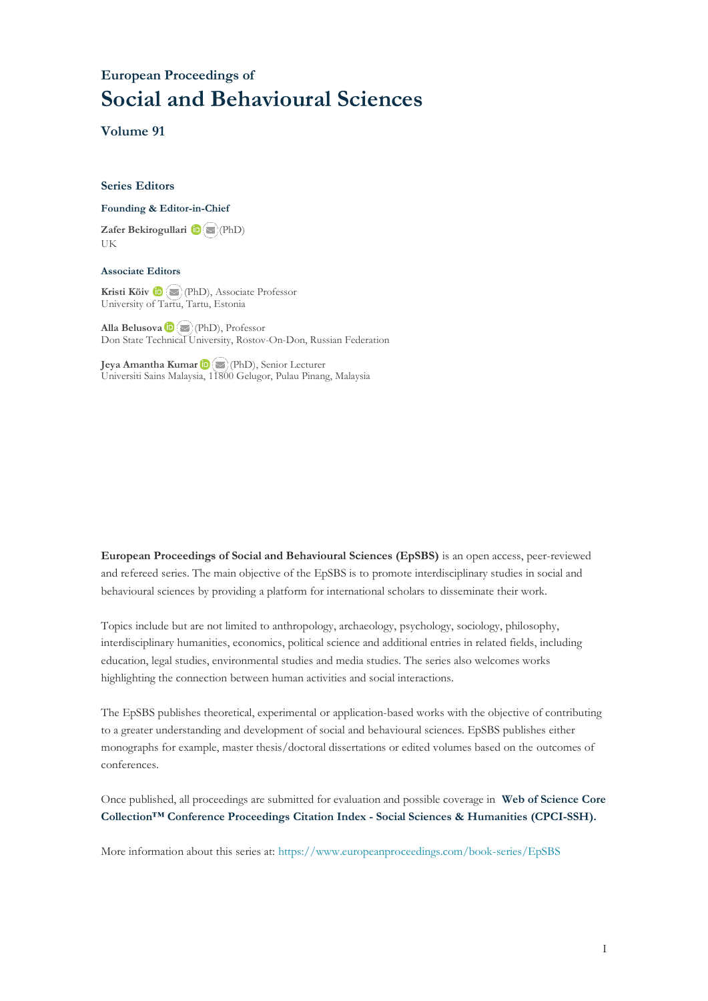## **European Proceedings of Social and Behavioural Sciences**

**Volume 91**

#### **Series Editors**

#### **Founding & Editor-in-Chief**

**Zafer Bekirogullari**(PhD) UK

#### **Associate Editors**

**Kristi Köiv** (PhD), Associate Professor University of Tartu, Tartu, Estonia

**Alla Belusova**(PhD), Professor Don State Technical University, Rostov-On-Don, Russian Federation

**Jeya Amantha Kumar**(PhD), Senior Lecturer Universiti Sains Malaysia, [1180](mailto:amantha@usm.my)0 Gelugor, Pulau Pinang, Malaysia

**European Proceedings of Social and Behavioural Sciences (EpSBS)** is an open access, peer-reviewed and refereed series. The main objective of the EpSBS is to promote interdisciplinary studies in social and behavioural sciences by providing a platform for international scholars to disseminate their work.

Topics include but are not limited to anthropology, archaeology, psychology, sociology, philosophy, interdisciplinary humanities, economics, political science and additional entries in related fields, including education, legal studies, environmental studies and media studies. The series also welcomes works highlighting the connection between human activities and social interactions.

The EpSBS publishes theoretical, experimental or application-based works with the objective of contributing to a greater understanding and development of social and behavioural sciences. EpSBS publishes either monographs for example, master thesis/doctoral dissertations or edited volumes based on the outcomes of conferences.

Once published, all proceedings are submitted for evaluation and possible coverage in **Web of [Science](https://clarivate.com/webofsciencegroup/solutions/webofscience-cpci/) Core Collection™ Conference Proceedings Citation Index - Social Sciences & Humanities [\(CPCI-SSH\).](https://clarivate.com/webofsciencegroup/solutions/webofscience-cpci/)**

More information about this series at[: https://www.europeanproceedings.com/book-series/EpSBS](https://www.europeanproceedings.com/book-series/EpSBS)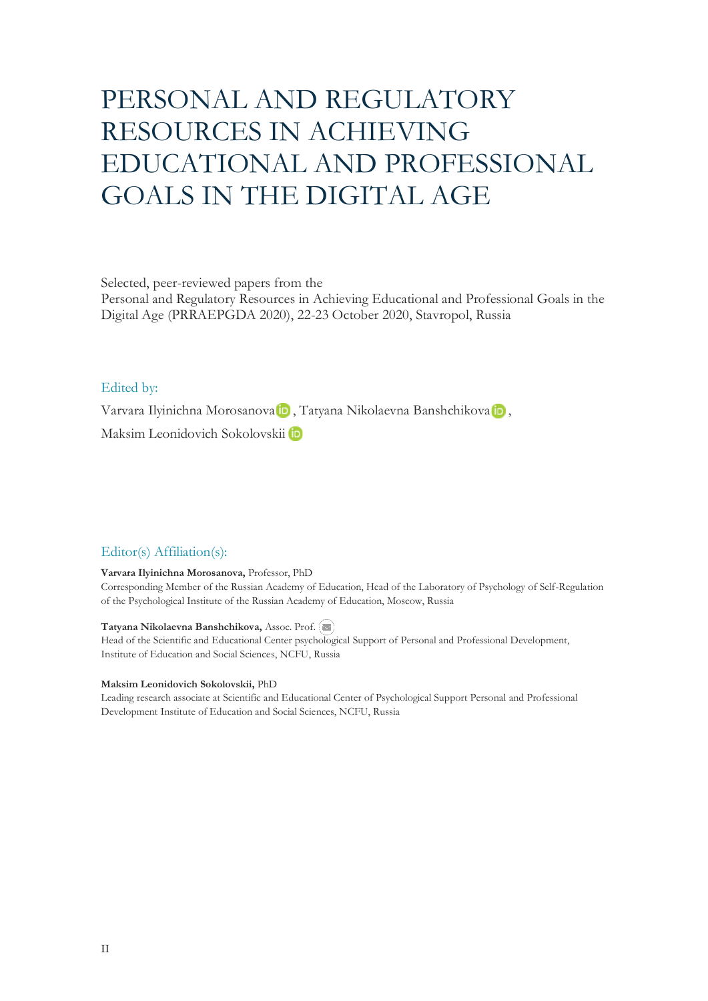# PERSONAL AND REGULATORY RESOURCES IN ACHIEVING EDUCATIONAL AND PROFESSIONAL GOALS IN THE DIGITAL AGE

Selected, peer-reviewed papers from the

Personal and Regulatory Resources in Achieving Educational and Professional Goals in the Digital Age (PRRAEPGDA 2020), 22-23 October 2020, Stavropol, Russia

#### Edited by:

VarvaraIlyinichna Morosanova D, Tatyana Nikolaevna Banshchikova D,

Maksim Leonidovich Sokolovskii

### Editor(s) Affiliation(s):

#### **Varvara Ilyinichna Morosanova,** Professor, PhD

Corresponding Member of the Russian Academy of Education, Head of the Laboratory of Psychology of Self-Regulation of the Psychological Institute of the Russian Academy of Education, Moscow, Russia

#### **Tatyana Nikolaevna Banshchikova,** Assoc. Prof.

Head of the Scientific and Educational Center psychological Support of Personal and Professional Development, Institute of Education and Social Sciences, NCFU, Russia

#### **Maksim Leonidovich Sokolovskii,** PhD

Leading research associate at Scientific and Educational Center of Psychological Support Personal and Professional Development Institute of Education and Social Sciences, NCFU, Russia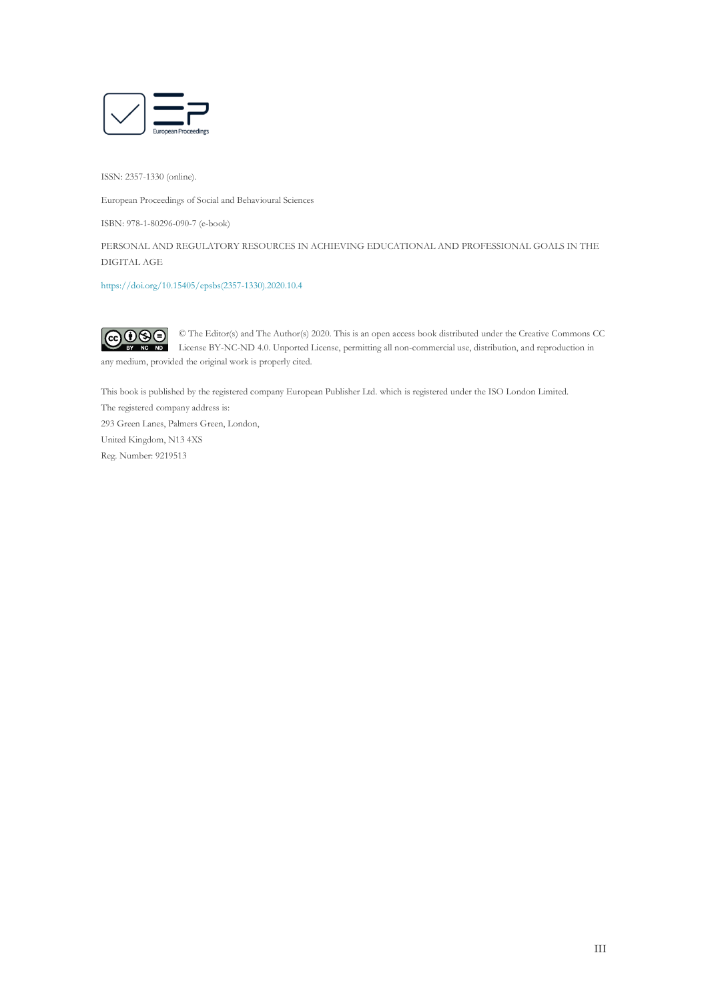

ISSN: 2357-1330 (online).

European Proceedings of Social and Behavioural Sciences

ISBN: 978-1-80296-090-7 (e-book)

PERSONAL AND REGULATORY RESOURCES IN ACHIEVING EDUCATIONAL AND PROFESSIONAL GOALS IN THE DIGITAL AGE

[https://doi.org/10.15405/epsbs\(2357-1330\).2020.10.4](https://doi.org/10.15405/epsbs(2357-1330).2020.10.4)

 $\odot$   $\odot$   $\odot$ © The Editor(s) and The Author(s) 2020. This is an open access book distributed under the Creative Commons CC License BY-NC-ND 4.0. Unported License, permitting all non-commercial use, distribution, and reproduction in any medium, provided the original work is properly cited.

This book is published by the registered company European Publisher Ltd. which is registered under the ISO London Limited.

The registered company address is: 293 Green Lanes, Palmers Green, London, United Kingdom, N13 4XS Reg. Number: 9219513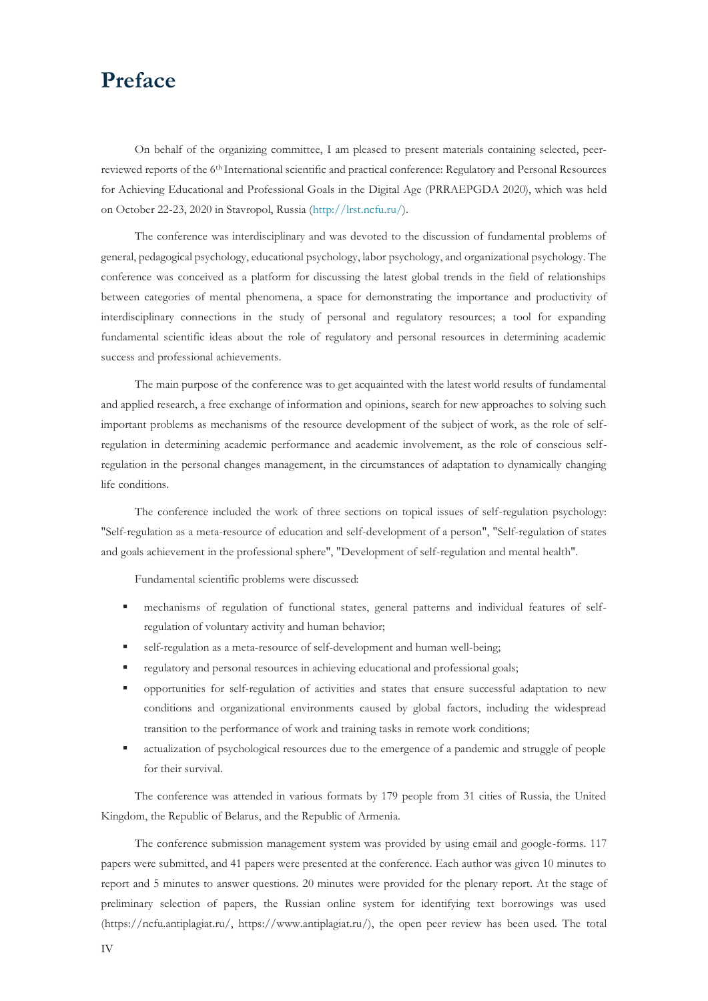## **Preface**

On behalf of the organizing committee, I am pleased to present materials containing selected, peerreviewed reports of the 6<sup>th</sup> International scientific and practical conference: Regulatory and Personal Resources for Achieving Educational and Professional Goals in the Digital Age (PRRAEPGDA 2020), which was held on October 22-23, 2020 in Stavropol, Russia [\(http://lrst.ncfu.ru/\)](mailto:http://lrst.ncfu.ru/).

The conference was interdisciplinary and was devoted to the discussion of fundamental problems of general, pedagogical psychology, educational psychology, labor psychology, and organizational psychology. The conference was conceived as a platform for discussing the latest global trends in the field of relationships between categories of mental phenomena, a space for demonstrating the importance and productivity of interdisciplinary connections in the study of personal and regulatory resources; a tool for expanding fundamental scientific ideas about the role of regulatory and personal resources in determining academic success and professional achievements.

The main purpose of the conference was to get acquainted with the latest world results of fundamental and applied research, a free exchange of information and opinions, search for new approaches to solving such important problems as mechanisms of the resource development of the subject of work, as the role of selfregulation in determining academic performance and academic involvement, as the role of conscious selfregulation in the personal changes management, in the circumstances of adaptation to dynamically changing life conditions.

The conference included the work of three sections on topical issues of self-regulation psychology: "Self-regulation as a meta-resource of education and self-development of a person", "Self-regulation of states and goals achievement in the professional sphere", "Development of self-regulation and mental health".

Fundamental scientific problems were discussed:

- mechanisms of regulation of functional states, general patterns and individual features of selfregulation of voluntary activity and human behavior;
- self-regulation as a meta-resource of self-development and human well-being;
- regulatory and personal resources in achieving educational and professional goals;
- opportunities for self-regulation of activities and states that ensure successful adaptation to new conditions and organizational environments caused by global factors, including the widespread transition to the performance of work and training tasks in remote work conditions;
- actualization of psychological resources due to the emergence of a pandemic and struggle of people for their survival.

The conference was attended in various formats by 179 people from 31 cities of Russia, the United Kingdom, the Republic of Belarus, and the Republic of Armenia.

The conference submission management system was provided by using email and google-forms. 117 papers were submitted, and 41 papers were presented at the conference. Each author was given 10 minutes to report and 5 minutes to answer questions. 20 minutes were provided for the plenary report. At the stage of preliminary selection of papers, the Russian online system for identifying text borrowings was used (https://ncfu.antiplagiat.ru/, https://www.antiplagiat.ru/), the open peer review has been used. The total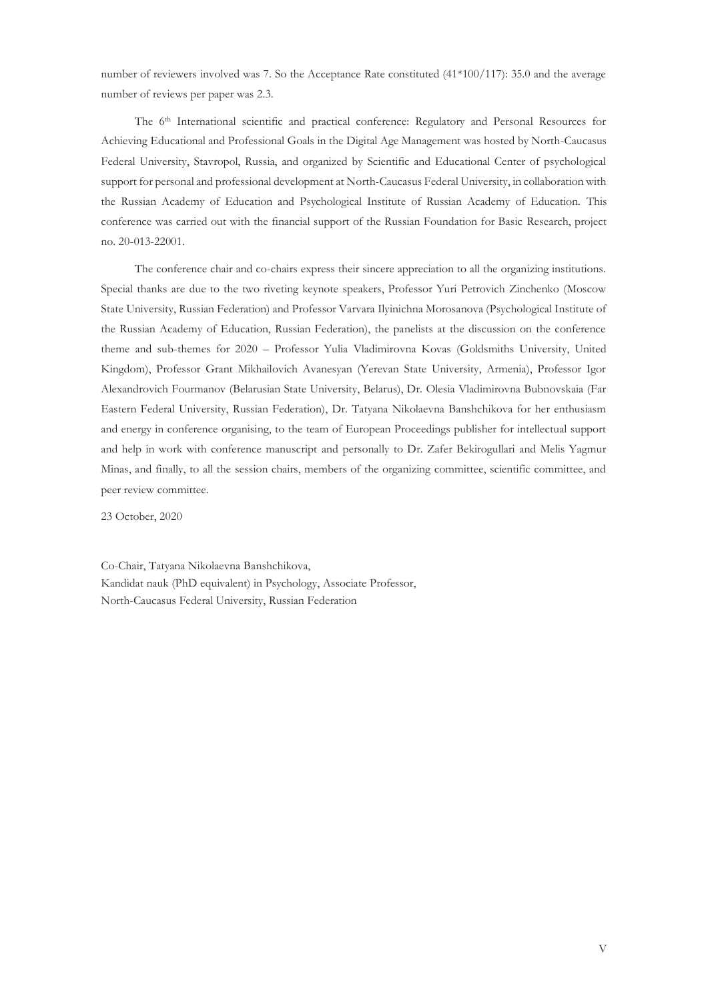number of reviewers involved was 7. So the Acceptance Rate constituted (41\*100/117): 35.0 and the average number of reviews per paper was 2.3.

The 6<sup>th</sup> International scientific and practical conference: Regulatory and Personal Resources for Achieving Educational and Professional Goals in the Digital Age Management was hosted by North-Caucasus Federal University, Stavropol, Russia, and organized by Scientific and Educational Center of psychological support for personal and professional development at North-Caucasus Federal University, in collaboration with the Russian Academy of Education and Psychological Institute of Russian Academy of Education. This conference was carried out with the financial support of the Russian Foundation for Basic Research, project no. 20-013-22001.

The conference chair and co-chairs express their sincere appreciation to all the organizing institutions. Special thanks are due to the two riveting keynote speakers, Professor Yuri Petrovich Zinchenko (Moscow State University, Russian Federation) and Professor Varvara Ilyinichna Morosanova (Psychological Institute of the Russian Academy of Education, Russian Federation), the panelists at the discussion on the conference theme and sub-themes for 2020 – Professor Yulia Vladimirovna Kovas (Goldsmiths University, United Kingdom), Professor Grant Mikhailovich Avanesyan (Yerevan State University, Armenia), Professor Igor Alexandrovich Fourmanov (Belarusian State University, Belarus), Dr. Olesia Vladimirovna Bubnovskaia (Far Eastern Federal University, Russian Federation), Dr. Tatyana Nikolaevna Banshchikova for her enthusiasm and energy in conference organising, to the team of European Proceedings publisher for intellectual support and help in work with conference manuscript and personally to Dr. Zafer Bekirogullari and Melis Yagmur Minas, and finally, to all the session chairs, members of the organizing committee, scientific committee, and peer review committee.

23 October, 2020

Co-Chair, Tatyana Nikolaevna Banshchikova, Kandidat nauk (PhD equivalent) in Psychology, Associate Professor, North-Caucasus Federal University, Russian Federation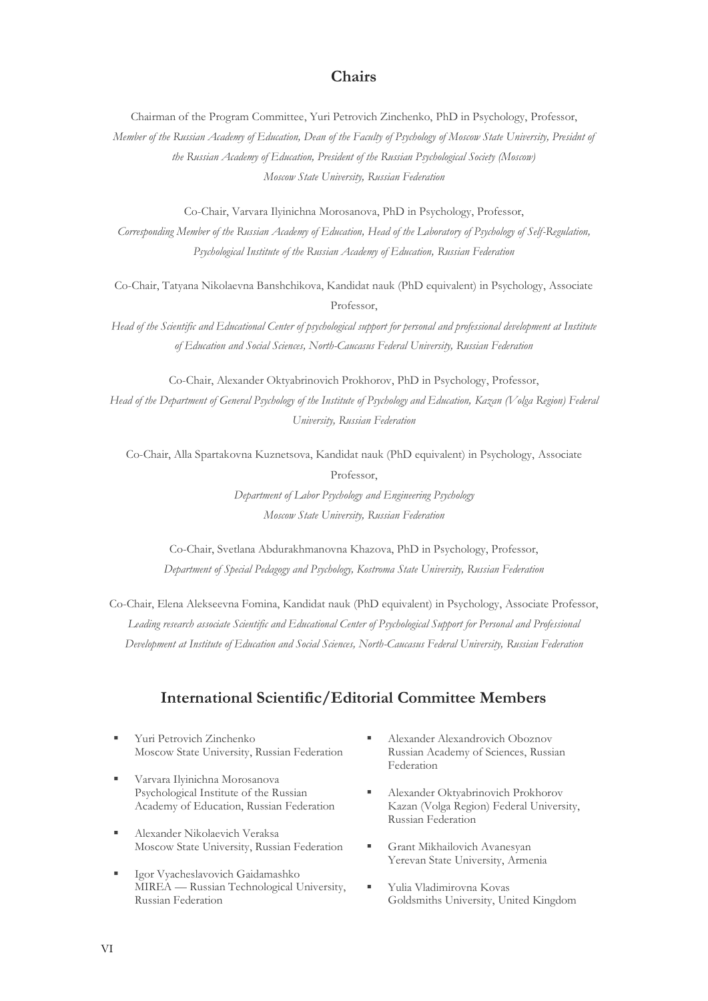### **Chairs**

Chairman of the Program Committee, Yuri Petrovich Zinchenko, PhD in Psychology, Professor,

*Member of the Russian Academy of Education, Dean of the Faculty of Psychology of Moscow State University, Presidnt of the Russian Academy of Education, President of the Russian Psychological Society (Moscow) Moscow State University, Russian Federation*

Co-Chair, Varvara Ilyinichna Morosanova, PhD in Psychology, Professor,

*Corresponding Member of the Russian Academy of Education, Head of the Laboratory of Psychology of Self-Regulation, Psychological Institute of the Russian Academy of Education, Russian Federation*

Co-Chair, Tatyana Nikolaevna Banshchikova, Kandidat nauk (PhD equivalent) in Psychology, Associate Professor,

*Head of the Scientific and Educational Center of psychological support for personal and professional development at Institute of Education and Social Sciences, North-Caucasus Federal University, Russian Federation*

Co-Chair, Alexander Oktyabrinovich Prokhorov, PhD in Psychology, Professor, *Head of the Department of General Psychology of the Institute of Psychology and Education, Kazan (Volga Region) Federal University, Russian Federation*

Co-Chair, Alla Spartakovna Kuznetsova, Kandidat nauk (PhD equivalent) in Psychology, Associate Professor, *Department of Labor Psychology and Engineering Psychology Moscow State University, Russian Federation*

Co-Chair, Svetlana Abdurakhmanovna Khazova, PhD in Psychology, Professor, *Department of Special Pedagogy and Psychology, Kostroma State University, Russian Federation*

Co-Chair, Elena Alekseevna Fomina, Kandidat nauk (PhD equivalent) in Psychology, Associate Professor, *Leading research associate Scientific and Educational Center of Psychological Support for Personal and Professional Development at Institute of Education and Social Sciences, North-Caucasus Federal University, Russian Federation*

## **International Scientific/Editorial Committee Members**

- Yuri Petrovich Zinchenko Moscow State University, Russian Federation
- Varvara Ilyinichna Morosanova Psychological Institute of the Russian Academy of Education, Russian Federation
- Alexander Nikolaevich Veraksa Moscow State University, Russian Federation
- Igor Vyacheslavovich Gaidamashko MIREA — Russian Technological University, Russian Federation
- Alexander Alexandrovich Oboznov Russian Academy of Sciences, Russian Federation
- Alexander Oktyabrinovich Prokhorov Kazan (Volga Region) Federal University, Russian Federation
- Grant Mikhailovich Avanesyan Yerevan State University, Armenia
- Yulia Vladimirovna Kovas Goldsmiths University, United Kingdom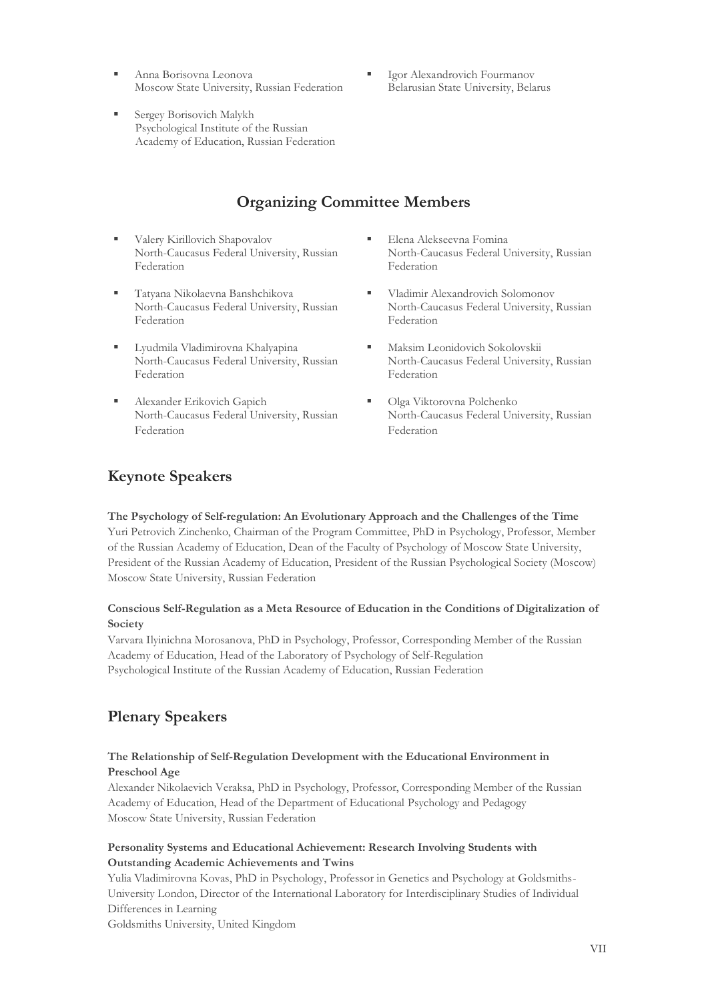- Anna Borisovna Leonova Moscow State University, Russian Federation
- Igor Alexandrovich Fourmanov Belarusian State University, Belarus
- Sergey Borisovich Malykh Psychological Institute of the Russian Academy of Education, Russian Federation

## **Organizing Committee Members**

- Valery Kirillovich Shapovalov North-Caucasus Federal University, Russian Federation
- Tatyana Nikolaevna Banshchikova North-Caucasus Federal University, Russian Federation
- Lyudmila Vladimirovna Khalyapina North-Caucasus Federal University, Russian Federation
- **Example Frikovich Gapich** North-Caucasus Federal University, Russian Federation
- **Elena Alekseevna Fomina** North-Caucasus Federal University, Russian Federation
- Vladimir Alexandrovich Solomonov North-Caucasus Federal University, Russian Federation
- Maksim Leonidovich Sokolovskii North-Caucasus Federal University, Russian Federation
- Olga Viktorovna Polchenko North-Caucasus Federal University, Russian Federation

## **Keynote Speakers**

**The Psychology of Self-regulation: An Evolutionary Approach and the Challenges of the Time** Yuri Petrovich Zinchenko, Chairman of the Program Committee, PhD in Psychology, Professor, Member of the Russian Academy of Education, Dean of the Faculty of Psychology of Moscow State University, President of the Russian Academy of Education, President of the Russian Psychological Society (Moscow) Moscow State University, Russian Federation

#### **Conscious Self-Regulation as a Meta Resource of Education in the Conditions of Digitalization of Society**

Varvara Ilyinichna Morosanova, PhD in Psychology, Professor, Corresponding Member of the Russian Academy of Education, Head of the Laboratory of Psychology of Self-Regulation Psychological Institute of the Russian Academy of Education, Russian Federation

## **Plenary Speakers**

#### **The Relationship of Self-Regulation Development with the Educational Environment in Preschool Age**

Alexander Nikolaevich Veraksa, PhD in Psychology, Professor, Corresponding Member of the Russian Academy of Education, Head of the Department of Educational Psychology and Pedagogy Moscow State University, Russian Federation

#### **Personality Systems and Educational Achievement: Research Involving Students with Outstanding Academic Achievements and Twins**

Yulia Vladimirovna Kovas, PhD in Psychology, Professor in Genetics and Psychology at Goldsmiths-University London, Director of the International Laboratory for Interdisciplinary Studies of Individual Differences in Learning

Goldsmiths University, United Kingdom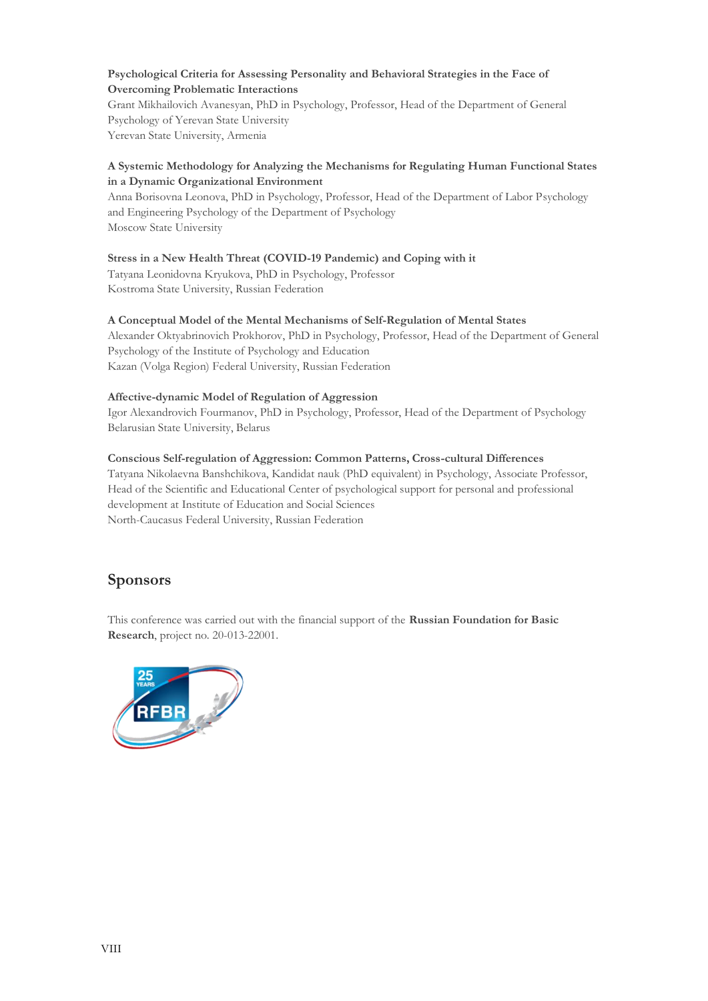#### **Psychological Criteria for Assessing Personality and Behavioral Strategies in the Face of Overcoming Problematic Interactions**

Grant Mikhailovich Avanesyan, PhD in Psychology, Professor, Head of the Department of General Psychology of Yerevan State University Yerevan State University, Armenia

#### **A Systemic Methodology for Analyzing the Mechanisms for Regulating Human Functional States in a Dynamic Organizational Environment**

Anna Borisovna Leonova, PhD in Psychology, Professor, Head of the Department of Labor Psychology and Engineering Psychology of the Department of Psychology Moscow State University

#### **Stress in a New Health Threat (COVID-19 Pandemic) and Coping with it**

Tatyana Leonidovna Kryukova, PhD in Psychology, Professor Kostroma State University, Russian Federation

#### **A Conceptual Model of the Mental Mechanisms of Self-Regulation of Mental States**

Alexander Oktyabrinovich Prokhorov, PhD in Psychology, Professor, Head of the Department of General Psychology of the Institute of Psychology and Education Kazan (Volga Region) Federal University, Russian Federation

#### **Affective-dynamic Model of Regulation of Aggression**

Igor Alexandrovich Fourmanov, PhD in Psychology, Professor, Head of the Department of Psychology Belarusian State University, Belarus

#### **Conscious Self-regulation of Aggression: Common Patterns, Cross-cultural Differences**

Tatyana Nikolaevna Banshchikova, Kandidat nauk (PhD equivalent) in Psychology, Associate Professor, Head of the Scientific and Educational Center of psychological support for personal and professional development at Institute of Education and Social Sciences North-Caucasus Federal University, Russian Federation

### **Sponsors**

This conference was carried out with the financial support of the **Russian Foundation for Basic Research**, project no. 20-013-22001.

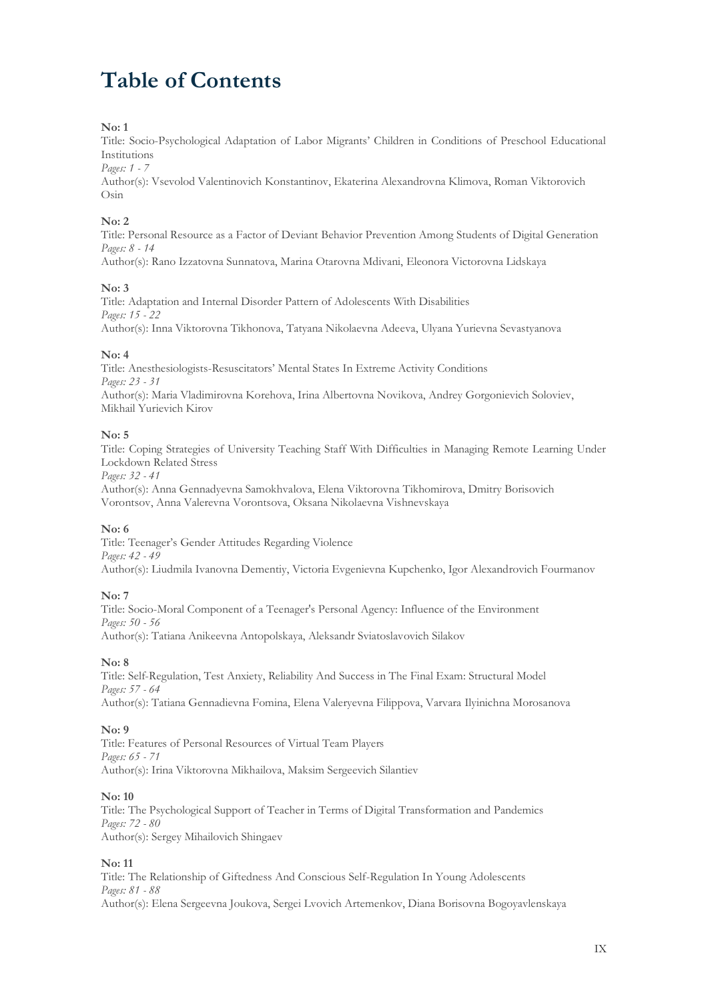## **Table of Contents**

#### **No: 1**

Title: Socio-Psychological Adaptation of Labor Migrants' Children in Conditions of Preschool Educational Institutions

#### *Pages: 1 - 7*

Author(s): Vsevolod Valentinovich Konstantinov, Ekaterina Alexandrovna Klimova, Roman Viktorovich Osin

#### **No: 2**

Title: Personal Resource as a Factor of Deviant Behavior Prevention Among Students of Digital Generation *Pages: 8 - 14*

Author(s): Rano Izzatovna Sunnatova, Marina Otarovna Mdivani, Eleonora Victorovna Lidskaya

#### **No: 3**

Title: Adaptation and Internal Disorder Pattern of Adolescents With Disabilities *Pages: 15 - 22* Author(s): Inna Viktorovna Tikhonova, Tatyana Nikolaevna Adeeva, Ulyana Yurievna Sevastyanova

#### **No: 4**

Title: Anesthesiologists-Resuscitators' Mental States In Extreme Activity Conditions *Pages: 23 - 31* Author(s): Maria Vladimirovna Korehova, Irina Albertovna Novikova, Andrey Gorgonievich Soloviev, Mikhail Yurievich Kirov

#### **No: 5**

Title: Coping Strategies of University Teaching Staff With Difficulties in Managing Remote Learning Under Lockdown Related Stress

*Pages: 32 - 41*

Author(s): Anna Gennadyevna Samokhvalova, Elena Viktorovna Tikhomirova, Dmitry Borisovich Vorontsov, Anna Valerevna Vorontsova, Oksana Nikolaevna Vishnevskaya

#### **No: 6**

Title: Teenager's Gender Attitudes Regarding Violence *Pages: 42 - 49* Author(s): Liudmila Ivanovna Dementiy, Victoria Evgenievna Kupchenko, Igor Alexandrovich Fourmanov

#### **No: 7**

Title: Socio-Moral Component of a Teenager's Personal Agency: Influence of the Environment *Pages: 50 - 56* Author(s): Tatiana Anikeevna Antopolskaya, Aleksandr Sviatoslavovich Silakov

#### **No: 8**

Title: Self-Regulation, Test Anxiety, Reliability And Success in The Final Exam: Structural Model *Pages: 57 - 64* Author(s): Tatiana Gennadievna Fomina, Elena Valeryevna Filippova, Varvara Ilyinichna Morosanova

#### **No: 9**

Title: Features of Personal Resources of Virtual Team Players *Pages: 65 - 71* Author(s): Irina Viktorovna Mikhailova, Maksim Sergeevich Silantiev

#### **No: 10**

Title: The Psychological Support of Teacher in Terms of Digital Transformation and Pandemics *Pages: 72 - 80* Author(s): Sergey Mihailovich Shingaev

#### **No: 11**

Title: The Relationship of Giftedness And Conscious Self-Regulation In Young Adolescents *Pages: 81 - 88* Author(s): Elena Sergeevna Joukova, Sergei Lvovich Artemenkov, Diana Borisovna Bogoyavlenskaya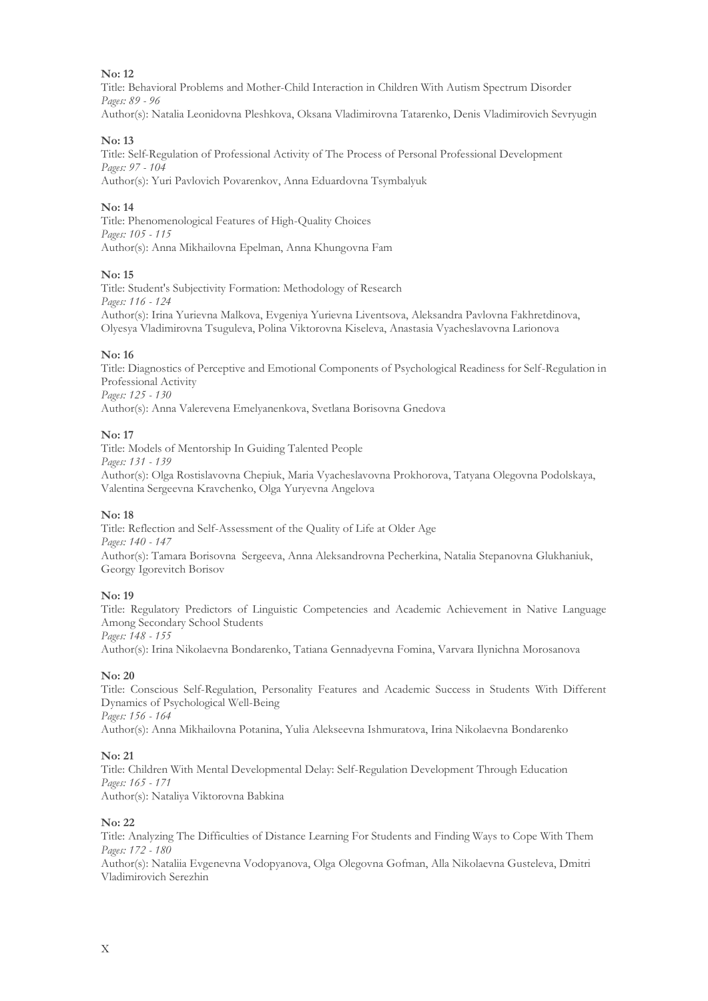#### **No: 12**

Title: Behavioral Problems and Mother-Child Interaction in Children With Autism Spectrum Disorder *Pages: 89 - 96* Author(s): Natalia Leonidovna Pleshkova, Oksana Vladimirovna Tatarenko, Denis Vladimirovich Sevryugin

#### **No: 13**

Title: Self-Regulation of Professional Activity of The Process of Personal Professional Development *Pages: 97 - 104* Author(s): Yuri Pavlovich Povarenkov, Anna Eduardovna Tsymbalyuk

#### **No: 14**

Title: Phenomenological Features of High-Quality Choices *Pages: 105 - 115* Author(s): Anna Mikhailovna Epelman, Anna Khungovna Fam

#### **No: 15**

Title: Student's Subjectivity Formation: Methodology of Research *Pages: 116 - 124* Author(s): Irina Yurievna Malkova, Evgeniya Yurievna Liventsova, Aleksandra Pavlovna Fakhretdinova, Olyesya Vladimirovna Tsuguleva, Polina Viktorovna Kiseleva, Anastasia Vyacheslavovna Larionova

#### **No: 16**

Title: Diagnostics of Perceptive and Emotional Components of Psychological Readiness for Self-Regulation in Professional Activity *Pages: 125 - 130* Author(s): Anna Valerevena Emelyanenkova, Svetlana Borisovna Gnedova

#### **No: 17**

Title: Models of Mentorship In Guiding Talented People *Pages: 131 - 139* Author(s): Olga Rostislavovna Chepiuk, Maria Vyacheslavovna Prokhorova, Tatyana Olegovna Podolskaya, Valentina Sergeevna Kravchenko, Olga Yuryevna Angelova

#### **No: 18**

Title: Reflection and Self-Assessment of the Quality of Life at Older Age *Pages: 140 - 147* Author(s): Tamara Borisovna Sergeeva, Anna Aleksandrovna Pecherkina, Natalia Stepanovna Glukhaniuk, Georgy Igorevitch Borisov

#### **No: 19**

Title: Regulatory Predictors of Linguistic Competencies and Academic Achievement in Native Language Among Secondary School Students *Pages: 148 - 155*

Author(s): Irina Nikolaevna Bondarenko, Tatiana Gennadyevna Fomina, Varvara Ilynichna Morosanova

#### **No: 20**

Title: Conscious Self-Regulation, Personality Features and Academic Success in Students With Different Dynamics of Psychological Well-Being *Pages: 156 - 164*

Author(s): Anna Mikhailovna Potanina, Yulia Alekseevna Ishmuratova, Irina Nikolaevna Bondarenko

#### **No: 21**

Title: Children With Mental Developmental Delay: Self-Regulation Development Through Education *Pages: 165 - 171*

Author(s): Nataliya Viktorovna Babkina

#### **No: 22**

Title: Analyzing The Difficulties of Distance Learning For Students and Finding Ways to Cope With Them *Pages: 172 - 180*

Author(s): Nataliia Evgenevna Vodopyanova, Olga Olegovna Gofman, Alla Nikolaevna Gusteleva, Dmitri Vladimirovich Serezhin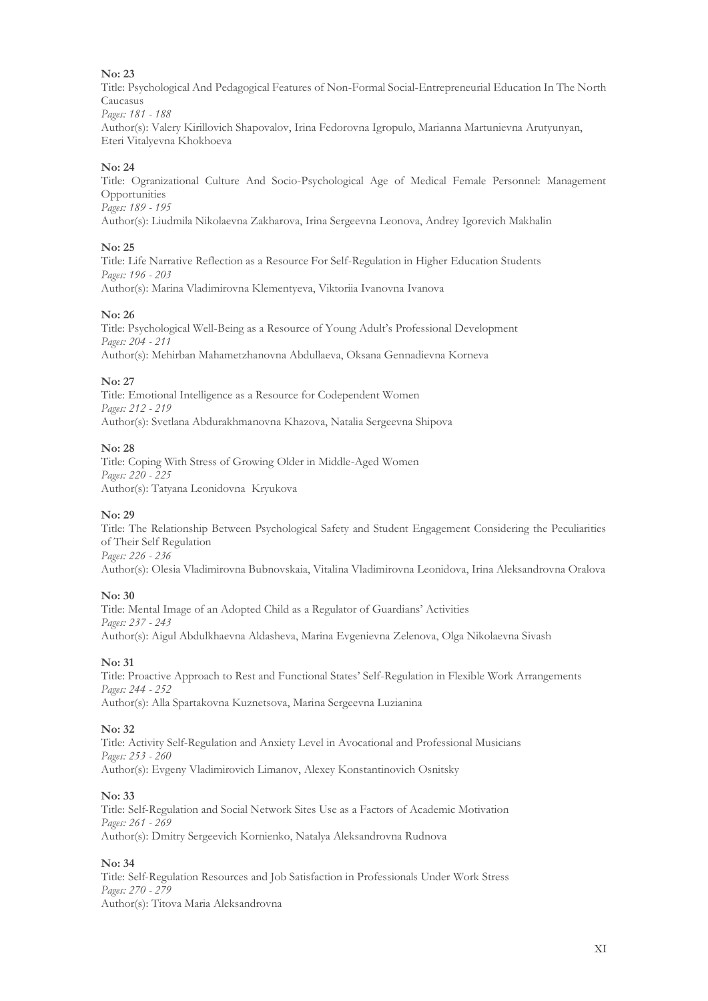#### **No: 23**

Title: Psychological And Pedagogical Features of Non-Formal Social-Entrepreneurial Education In The North Caucasus *Pages: 181 - 188*

Author(s): Valery Kirillovich Shapovalov, Irina Fedorovna Igropulo, Marianna Martunievna Аrutyunyan, Eteri Vitalyevna Khokhoeva

#### **No: 24**

Title: Ogranizational Culture And Socio-Psychological Age of Medical Female Personnel: Management Opportunities *Pages: 189 - 195*

Author(s): Liudmila Nikolaevna Zakharova, Irina Sergeevna Leonova, Andrey Igorevich Makhalin

#### **No: 25**

Title: Life Narrative Reflection as a Resource For Self-Regulation in Higher Education Students *Pages: 196 - 203* Author(s): Marina Vladimirovna Klementyeva, Viktoriia Ivanovna Ivanova

#### **No: 26**

Title: Psychological Well-Being as a Resource of Young Adult's Professional Development *Pages: 204 - 211* Author(s): Mehirban Mahametzhanovna Abdullaeva, Oksana Gennadievna Korneva

#### **No: 27**

Title: Emotional Intelligence as a Resource for Codependent Women *Pages: 212 - 219* Author(s): Svetlana Abdurakhmanovna Khazova, Natalia Sergeevna Shipova

#### **No: 28**

Title: Coping With Stress of Growing Older in Middle-Aged Women *Pages: 220 - 225* Author(s): Tatyana Leonidovna Kryukova

#### **No: 29**

Title: The Relationship Between Psychological Safety and Student Engagement Considering the Peculiarities of Their Self Regulation *Pages: 226 - 236*

Author(s): Olesia Vladimirovna Bubnovskaia, Vitalina Vladimirovna Leonidova, Irina Aleksandrovna Oralova

#### **No: 30**

Title: Mental Image of an Adopted Child as a Regulator of Guardians' Activities *Pages: 237 - 243* Author(s): Aigul Abdulkhaevna Aldasheva, Marina Evgenievna Zelenova, Olga Nikolaevna Sivash

#### **No: 31**

Title: Proactive Approach to Rest and Functional States' Self-Regulation in Flexible Work Arrangements *Pages: 244 - 252* Author(s): Alla Spartakovna Kuznetsova, Marina Sergeevna Luzianina

#### **No: 32**

Title: Activity Self-Regulation and Anxiety Level in Avocational and Professional Musicians *Pages: 253 - 260* Author(s): Evgeny Vladimirovich Limanov, Alexey Konstantinovich Osnitsky

#### **No: 33**

Title: Self-Regulation and Social Network Sites Use as a Factors of Academic Motivation *Pages: 261 - 269* Author(s): Dmitry Sergeevich Kornienko, Natalya Aleksandrovna Rudnova

#### **No: 34**

Title: Self-Regulation Resources and Job Satisfaction in Professionals Under Work Stress *Pages: 270 - 279* Author(s): Titova Maria Aleksandrovna